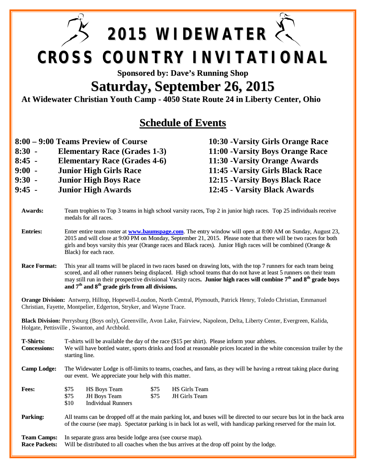**2015 WIDEWATER CROSS COUNTRY INVITATIONAL**

## **Sponsored by: Dave's Running Shop**

## **Saturday, September 26, 2015**

**At Widewater Christian Youth Camp - 4050 State Route 24 in Liberty Center, Ohio**

## **Schedule of Events**

- **8:00 9:00 Teams Preview of Course 10:30 -Varsity Girls Orange Race**
- **8:30 - Elementary Race (Grades 1-3) 11:00 -Varsity Boys Orange Race**
- **8:45 - Elementary Race (Grades 4-6) 11:30 -Varsity Orange Awards**
- **9:00 - Junior High Girls Race 11:45 -Varsity Girls Black Race**
- **9:30 - Junior High Boys Race 12:15 -Varsity Boys Black Race**
- **9:45 - Junior High Awards 12:45 - Varsity Black Awards**

- **Awards:** Team trophies to Top 3 teams in high school varsity races, Top 2 in junior high races. Top 25 individuals receive medals for all races.
- **Entries:** Enter entire team roster at **www.baumspage.com**. The entry window will open at 8:00 AM on Sunday, August 23, 2015 and will close at 9:00 PM on Monday, September 21, 2015. Please note that there will be two races for both girls and boys varsity this year (Orange races and Black races). Junior High races will be combined (Orange  $\&$ Black) for each race.
- **Race Format:** This year all teams will be placed in two races based on drawing lots, with the top 7 runners for each team being scored, and all other runners being displaced. High school teams that do not have at least 5 runners on their team may still run in their prospective divisional Varsity races**. Junior high races will combine 7 th and 8 th grade boys and 7 th and 8 th grade girls from all divisions.**

**Orange Division:** Antwerp, Hilltop, Hopewell-Loudon, North Central, Plymouth, Patrick Henry, Toledo Christian, Emmanuel Christian, Fayette, Montpelier, Edgerton, Stryker, and Wayne Trace.

**Black Division:** Perrysburg (Boys only), Greenville, Avon Lake, Fairview, Napoleon, Delta, Liberty Center, Evergreen, Kalida, Holgate, Pettisville , Swanton, and Archbold.

**T-Shirts:** T-shirts will be available the day of the race (\$15 per shirt). Please inform your athletes. **Concessions:** We will have bottled water, sports drinks and food at reasonable prices located in the white concession trailer by the starting line.

**Camp Lodge:** The Widewater Lodge is off-limits to teams, coaches, and fans, as they will be having a retreat taking place during our event. We appreciate your help with this matter.

| Fees: | \$75 | <b>HS Boys Team</b> | \$75 | HS Girls Team |
|-------|------|---------------------|------|---------------|
|       | \$75 | JH Boys Team        | S75  | JH Girls Team |
|       | \$10 | Individual Runners  |      |               |

**Parking:** All teams can be dropped off at the main parking lot, and buses will be directed to our secure bus lot in the back area of the course (see map). Spectator parking is in back lot as well, with handicap parking reserved for the main lot.

## **Team Camps:** In separate grass area beside lodge area (see course map).<br>**Race Packets:** Will be distributed to all coaches when the bus arrives at t Will be distributed to all coaches when the bus arrives at the drop off point by the lodge.